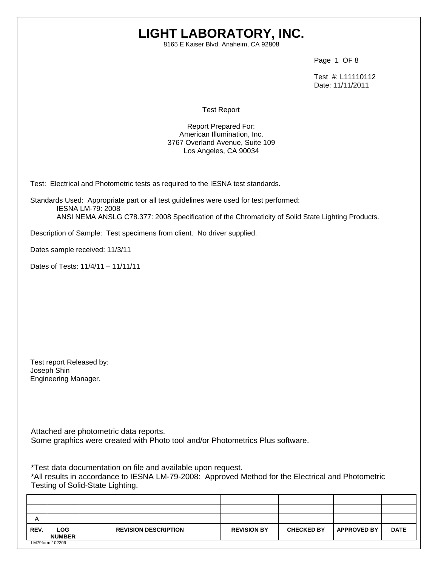# **LIGHT LABORATORY, INC.**

8165 E Kaiser Blvd. Anaheim, CA 92808

Page 1 OF 8

 Test #: L11110112 Date: 11/11/2011

Test Report

Report Prepared For: American Illumination, Inc. 3767 Overland Avenue, Suite 109 Los Angeles, CA 90034

Test: Electrical and Photometric tests as required to the IESNA test standards.

Standards Used: Appropriate part or all test guidelines were used for test performed: IESNA LM-79: 2008 ANSI NEMA ANSLG C78.377: 2008 Specification of the Chromaticity of Solid State Lighting Products.

Description of Sample: Test specimens from client. No driver supplied.

Dates sample received: 11/3/11

Dates of Tests: 11/4/11 – 11/11/11

Test report Released by: Joseph Shin Engineering Manager.

Attached are photometric data reports. Some graphics were created with Photo tool and/or Photometrics Plus software.

\*Test data documentation on file and available upon request.

\*All results in accordance to IESNA LM-79-2008: Approved Method for the Electrical and Photometric Testing of Solid-State Lighting.

| A    |                             |                             |                    |                   |                    |             |
|------|-----------------------------|-----------------------------|--------------------|-------------------|--------------------|-------------|
| REV. | <b>LOG</b><br><b>NUMBER</b> | <b>REVISION DESCRIPTION</b> | <b>REVISION BY</b> | <b>CHECKED BY</b> | <b>APPROVED BY</b> | <b>DATE</b> |
|      | LM79form-102209             |                             |                    |                   |                    |             |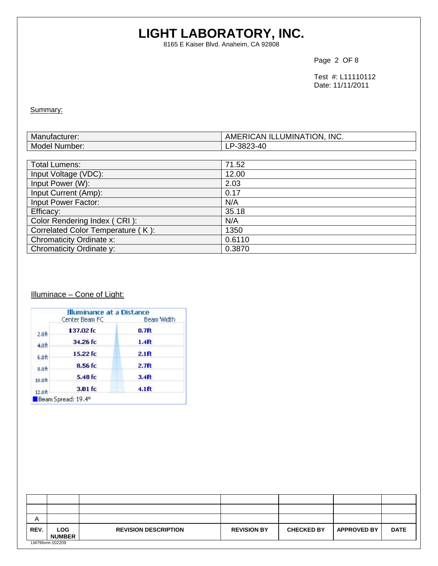# **LIGHT LABORATORY, INC.**

8165 E Kaiser Blvd. Anaheim, CA 92808

Page 2 OF 8

 Test #: L11110112 Date: 11/11/2011

Summary:

| <b>B</b> <i>B</i><br>$-111221$<br>Manutal Manuta<br>nuiacturer: | INC.<br><b>ON.</b><br>ILLUMINA <sup>-</sup><br>к<br><b>RICAN</b><br>AME. |
|-----------------------------------------------------------------|--------------------------------------------------------------------------|
| Model<br>Number:                                                | . ו ב-ר<br>``<br>᠇֊<br>--<br>∪∟ש                                         |

| <b>Total Lumens:</b>              | 71.52  |
|-----------------------------------|--------|
| Input Voltage (VDC):              | 12.00  |
| Input Power (W):                  | 2.03   |
| Input Current (Amp):              | 0.17   |
| Input Power Factor:               | N/A    |
| Efficacy:                         | 35.18  |
| Color Rendering Index (CRI):      | N/A    |
| Correlated Color Temperature (K): | 1350   |
| Chromaticity Ordinate x:          | 0.6110 |
| Chromaticity Ordinate y:          | 0.3870 |

# Illuminace - Cone of Light:

|                    | Center Beam FC | Beam Width        |
|--------------------|----------------|-------------------|
| 2.0 <sub>0</sub>   | 137.02 fc      | $0.7f$ t          |
| 4.0 <sub>ft</sub>  | 34.26 fc       | 1.4 <sub>f</sub>  |
| 6.0 <sub>0</sub>   | 15.22 fc       | 2.1ft             |
| 8.0 <sub>0</sub>   | $8.56$ fc      | 2.7 <sub>ft</sub> |
| 10.0 <sub>ft</sub> | 5.48 fc        | 3.4 <sub>ft</sub> |
| 12.0R              | 3.81 fc        | $4.1$ ft          |

| Α    |                       |                             |                    |                   |                    |             |
|------|-----------------------|-----------------------------|--------------------|-------------------|--------------------|-------------|
| REV. | LOG.<br><b>NUMBER</b> | <b>REVISION DESCRIPTION</b> | <b>REVISION BY</b> | <b>CHECKED BY</b> | <b>APPROVED BY</b> | <b>DATE</b> |
|      | LM79form-102209       |                             |                    |                   |                    |             |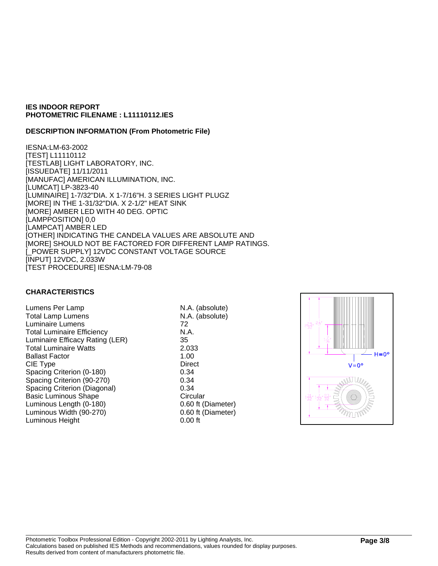#### **DESCRIPTION INFORMATION (From Photometric File)**

IESNA:LM-63-2002 [TEST] L11110112 [TESTLAB] LIGHT LABORATORY, INC. [ISSUEDATE] 11/11/2011 [MANUFAC] AMERICAN ILLUMINATION, INC. [LUMCAT] LP-3823-40 [LUMINAIRE] 1-7/32"DIA. X 1-7/16"H. 3 SERIES LIGHT PLUGZ [MORE] IN THE 1-31/32"DIA. X 2-1/2" HEAT SINK [MORE] AMBER LED WITH 40 DEG. OPTIC [LAMPPOSITION] 0,0 [LAMPCAT] AMBER LED [OTHER] INDICATING THE CANDELA VALUES ARE ABSOLUTE AND [MORE] SHOULD NOT BE FACTORED FOR DIFFERENT LAMP RATINGS. [\_POWER SUPPLY] 12VDC CONSTANT VOLTAGE SOURCE [INPUT] 12VDC, 2.033W [TEST PROCEDURE] IESNA:LM-79-08

## **CHARACTERISTICS**

Lumens Per Lamp N.A. (absolute) Total Lamp Lumens N.A. (absolute) Luminaire Lumens 72 Total Luminaire Efficiency N.A. Luminaire Efficacy Rating (LER) 35 Total Luminaire Watts 2.033 Ballast Factor 1.00 CIE Type Direct Spacing Criterion (0-180) 0.34 Spacing Criterion (90-270) 0.34 Spacing Criterion (Diagonal) 0.34 Basic Luminous Shape Circular Luminous Length (0-180) 0.60 ft (Diameter) Luminous Width (90-270) 0.60 ft (Diameter) Luminous Height 0.00 ft

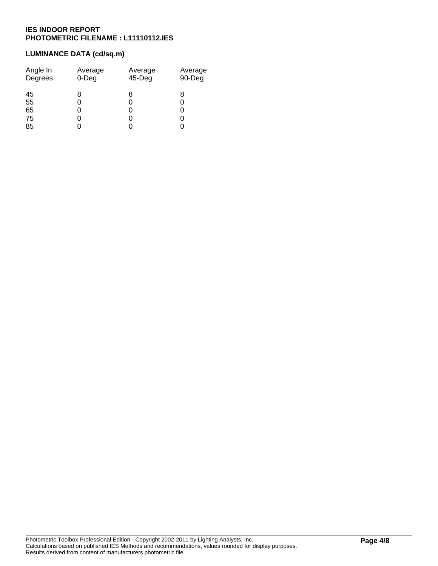# **LUMINANCE DATA (cd/sq.m)**

| Angle In<br>Degrees | Average<br>$0$ -Deg | Average<br>45-Deg | Average<br>90-Deg |
|---------------------|---------------------|-------------------|-------------------|
| 45                  | 8                   | 8                 | 8                 |
| 55                  | 0                   |                   | 0                 |
| 65                  | 0                   |                   | 0                 |
| 75                  | 0                   |                   | 0                 |
| 85                  |                     |                   |                   |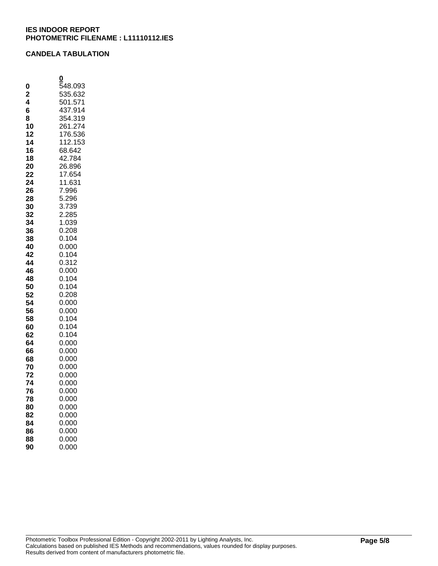#### **CANDELA TABULATION**

|                | 0              |
|----------------|----------------|
| 0              | 548.093        |
| $\overline{2}$ | 535.632        |
| 4              | 501.571        |
| 6              | 437.914        |
| 8              | 354.319        |
| 10             | 261.274        |
| 12             | 176.536        |
| 14             | 112.153        |
| 16             | 68.642         |
| 18             | 42.784         |
| 20             | 26.896         |
| 22             | 17.654         |
| 24             | 11.631         |
| 26             | 7.996          |
| 28             | 5.296          |
| 30             | 3.739          |
| 32             | 2.285          |
| 34<br>36       | 1.039<br>0.208 |
| 38             | 0.104          |
| 40             | 0.000          |
| 42             | 0.104          |
| 44             | 0.312          |
| 46             | 0.000          |
| 48             | 0.104          |
| 50             | 0.104          |
| 52             | 0.208          |
| 54             | 0.000          |
| 56             | 0.000          |
| 58             | 0.104          |
| 60             | 0.104          |
| 62             | 0.104          |
| 64             | 0.000          |
| 66             | 0.000          |
| 68             | 0.000          |
| 70             | 0.000          |
| 72             | 0.000          |
| 74             | 0.000          |
| 76             | 0.000          |
| 78             | 0.000          |
| 80             | 0.000          |
| 82             | 0.000          |
| 84             | 0.000          |
| 86             | 0.000          |
| 88             | 0.000          |
| 90             | 0.000          |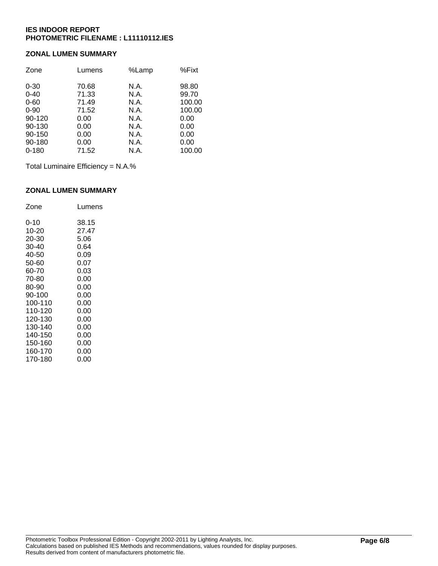#### **ZONAL LUMEN SUMMARY**

| Zone      | Lumens | %Lamp | %Fixt  |
|-----------|--------|-------|--------|
| $0 - 30$  | 70.68  | N.A.  | 98.80  |
| $0 - 40$  | 71.33  | N.A.  | 99.70  |
| $0 - 60$  | 71.49  | N.A.  | 100.00 |
| $0 - 90$  | 71.52  | N.A.  | 100.00 |
| 90-120    | 0.00   | N.A.  | 0.00   |
| 90-130    | 0.00   | N.A.  | 0.00   |
| 90-150    | 0.00   | N.A.  | 0.00   |
| 90-180    | 0.00   | N.A.  | 0.00   |
| $0 - 180$ | 71.52  | N.A.  | 100.00 |

Total Luminaire Efficiency = N.A.%

#### **ZONAL LUMEN SUMMARY**

| Zone    | Lumens |
|---------|--------|
| 0-10    | 38.15  |
| 10-20   | 27.47  |
| 20-30   | 5.06   |
| 30-40   | 0.64   |
| 40-50   | 0.09   |
| 50-60   | 0.07   |
| 60-70   | 0.03   |
| 70-80   | 0.00   |
| 80-90   | 0.00   |
| 90-100  | 0.00   |
| 100-110 | 0.00   |
| 110-120 | 0.00   |
| 120-130 | 0.00   |
| 130-140 | 0.00   |
| 140-150 | 0.00   |
| 150-160 | 0.00   |
| 160-170 | 0.00   |
| 170-180 | 0.00   |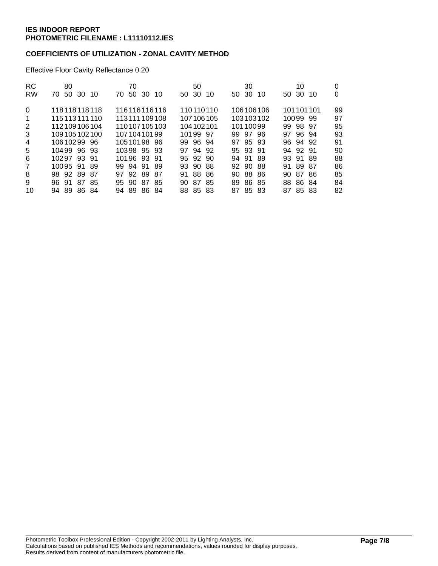## **COEFFICIENTS OF UTILIZATION - ZONAL CAVITY METHOD**

Effective Floor Cavity Reflectance 0.20

| <b>RC</b>      | 80             | 70                  | 50               | 30                | 10                 | 0  |
|----------------|----------------|---------------------|------------------|-------------------|--------------------|----|
| <b>RW</b>      | 70 50 30 10    | 70 50 30<br>-10     | 50 30<br>10      | 50 30<br>10       | 50 30<br>-10       | 0  |
| $\mathbf{0}$   | 118118118118   | 116116116116        | 110110110        | 106106106         | 101101101          | 99 |
| $\mathbf 1$    | 115113111110   | 113111109108        | 107106105        | 103103102         | 10099 99           | 97 |
| 2              | 112109106104   | 110107105103        | 104 102 101      | 10110099          | 99 98 97           | 95 |
| 3              | 109105102100   | 10710410199         | 10199 97         | 99 97 96          | 97 96 94           | 93 |
| $\overline{4}$ | 10610299 96    | 1051019896          | 99 96 94         | 97 95 93          | 96 94 92           | 91 |
| 5              | 10499 96 93    | 10398 95 93         | 97 94 92         | 95 93 91          | 94 92 91           | 90 |
| 6              | 10297 93 91    | 10196 93 91         | 95 92 90         | 94 91 89          | 93 91 89           | 88 |
| $\overline{7}$ | 10095 91 89    | 99 94 91 89         | 93 90 88         | 92 90 88          | 91 89<br>-87       | 86 |
| 8              | 98 92 89 87    | 92 89<br>87<br>97   | 88 86<br>91      | 90.<br>88<br>-86  | -87<br>- 86<br>90. | 85 |
| 9              | 87 85<br>96.91 | 90.87<br>-85<br>95. | 87<br>-85<br>90. | 86.<br>89.<br>-85 | 88 86 84           | 84 |
| 10             | 94 89 86 84    | 94 89 86 84         | 88 85 83         | 87 85 83          | 87 85 83           | 82 |